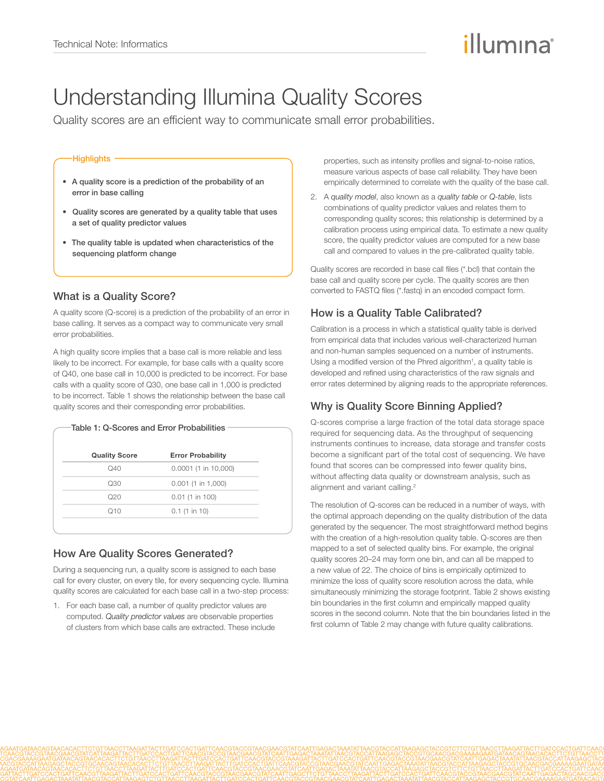# illumına

## Understanding Illumina Quality Scores

Quality scores are an efficient way to communicate small error probabilities.

#### **Highlights**

- A quality score is a prediction of the probability of an error in base calling
- Quality scores are generated by a quality table that uses a set of quality predictor values
- The quality table is updated when characteristics of the sequencing platform change

#### What is a Quality Score?

A quality score (Q-score) is a prediction of the probability of an error in base calling. It serves as a compact way to communicate very small error probabilities.

A high quality score implies that a base call is more reliable and less likely to be incorrect. For example, for base calls with a quality score of Q40, one base call in 10,000 is predicted to be incorrect. For base calls with a quality score of Q30, one base call in 1,000 is predicted to be incorrect. Table 1 shows the relationship between the base call quality scores and their corresponding error probabilities.

| <b>Quality Score</b> | <b>Error Probability</b> |
|----------------------|--------------------------|
| $\Omega$ 40          | $0.0001$ (1 in 10,000)   |
| Q30                  | $0.001$ (1 in 1,000)     |
| Q20                  | $0.01$ (1 in 100)        |
| O10                  | $0.1$ (1 in 10)          |

## How Are Quality Scores Generated?

During a sequencing run, a quality score is assigned to each base call for every cluster, on every tile, for every sequencing cycle. Illumina quality scores are calculated for each base call in a two-step process:

1. For each base call, a number of quality predictor values are computed. *Quality predictor values* are observable properties of clusters from which base calls are extracted. These include properties, such as intensity profiles and signal-to-noise ratios, measure various aspects of base call reliability. They have been empirically determined to correlate with the quality of the base call.

2. A *quality model*, also known as a *quality table* or *Q-table*, lists combinations of quality predictor values and relates them to corresponding quality scores; this relationship is determined by a calibration process using empirical data. To estimate a new quality score, the quality predictor values are computed for a new base call and compared to values in the pre-calibrated quality table.

Quality scores are recorded in base call files (\*.bcl) that contain the base call and quality score per cycle. The quality scores are then converted to FASTQ files (\*.fastq) in an encoded compact form.

## How is a Quality Table Calibrated?

Calibration is a process in which a statistical quality table is derived from empirical data that includes various well-characterized human and non-human samples sequenced on a number of instruments. Using a modified version of the Phred algorithm<sup>1</sup>, a quality table is developed and refined using characteristics of the raw signals and error rates determined by aligning reads to the appropriate references.

## Why is Quality Score Binning Applied?

Q-scores comprise a large fraction of the total data storage space required for sequencing data. As the throughput of sequencing instruments continues to increase, data storage and transfer costs become a significant part of the total cost of sequencing. We have found that scores can be compressed into fewer quality bins, without affecting data quality or downstream analysis, such as alignment and variant calling.<sup>2</sup>

The resolution of Q-scores can be reduced in a number of ways, with the optimal approach depending on the quality distribution of the data generated by the sequencer. The most straightforward method begins with the creation of a high-resolution quality table. Q-scores are then mapped to a set of selected quality bins. For example, the original quality scores 20–24 may form one bin, and can all be mapped to a new value of 22. The choice of bins is empirically optimized to minimize the loss of quality score resolution across the data, while simultaneously minimizing the storage footprint. Table 2 shows existing bin boundaries in the first column and empirically mapped quality scores in the second column. Note that the bin boundaries listed in the first column of Table 2 may change with future quality calibrations.